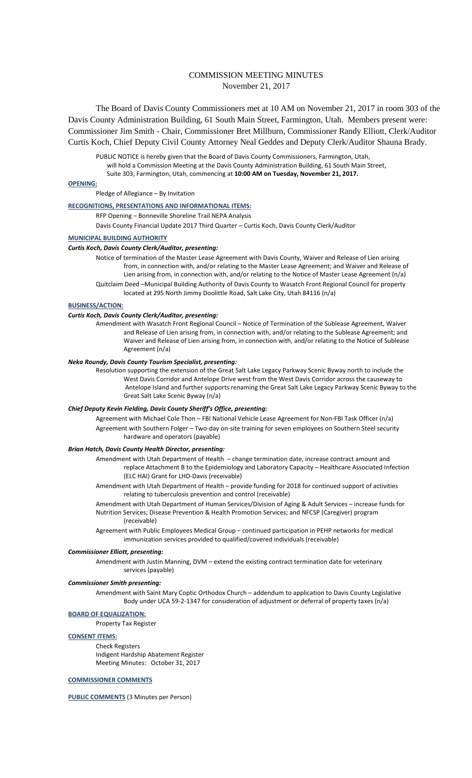# COMMISSION MEETING MINUTES November 21, 2017

The Board of Davis County Commissioners met at 10 AM on November 21, 2017 in room 303 of the Davis County Administration Building, 61 South Main Street, Farmington, Utah. Members present were: Commissioner Jim Smith - Chair, Commissioner Bret Millburn, Commissioner Randy Elliott, Clerk/Auditor Curtis Koch, Chief Deputy Civil County Attorney Neal Geddes and Deputy Clerk/Auditor Shauna Brady.

PUBLIC NOTICE is hereby given that the Board of Davis County Commissioners, Farmington, Utah, will hold a Commission Meeting at the Davis County Administration Building, 61 South Main Street, Suite 303, Farmington, Utah, commencing at **10:00 AM on Tuesday, November 21, 2017.**

# **OPENING:**

Pledge of Allegiance – By Invitation

# **RECOGNITIONS, PRESENTATIONS AND INFORMATIONAL ITEMS:**

RFP Opening – Bonneville Shoreline Trail NEPA Analysis

Davis County Financial Update 2017 Third Quarter – Curtis Koch, Davis County Clerk/Auditor

# **MUNICIPAL BUILDING AUTHORITY**

# *Curtis Koch, Davis County Clerk/Auditor, presenting:*

Notice of termination of the Master Lease Agreement with Davis County, Waiver and Release of Lien arising from, in connection with, and/or relating to the Master Lease Agreement; and Waiver and Release of Lien arising from, in connection with, and/or relating to the Notice of Master Lease Agreement (n/a) Quitclaim Deed –Municipal Building Authority of Davis County to Wasatch Front Regional Council for property

located at 295 North Jimmy Doolittle Road, Salt Lake City, Utah 84116 (n/a)

#### **BUSINESS/ACTION:**

## *Curtis Koch, Davis County Clerk/Auditor, presenting:*

Amendment with Wasatch Front Regional Council – Notice of Termination of the Sublease Agreement, Waiver and Release of Lien arising from, in connection with, and/or relating to the Sublease Agreement; and Waiver and Release of Lien arising from, in connection with, and/or relating to the Notice of Sublease Agreement (n/a)

# *Neka Roundy, Davis County Tourism Specialist, presenting:*

Resolution supporting the extension of the Great Salt Lake Legacy Parkway Scenic Byway north to include the West Davis Corridor and Antelope Drive west from the West Davis Corridor across the causeway to Antelope Island and further supports renaming the Great Salt Lake Legacy Parkway Scenic Byway to the Great Salt Lake Scenic Byway (n/a)

### *Chief Deputy Kevin Fielding, Davis County Sheriff's Office, presenting:*

Agreement with Michael Cole Thon – FBI National Vehicle Lease Agreement for Non-FBI Task Officer (n/a) Agreement with Southern Folger – Two-day on-site training for seven employees on Southern Steel security hardware and operators (payable)

# *Brian Hatch, Davis County Health Director, presenting:*

Amendment with Utah Department of Health – change termination date, increase contract amount and replace Attachment B to the Epidemiology and Laboratory Capacity – Healthcare Associated Infection (ELC HAI) Grant for LHD-Davis (receivable)

Amendment with Utah Department of Health – provide funding for 2018 for continued support of activities relating to tuberculosis prevention and control (receivable)

Amendment with Utah Department of Human Services/Division of Aging & Adult Services – increase funds for Nutrition Services; Disease Prevention & Health Promotion Services; and NFCSP (Caregiver) program (receivable)

Agreement with Public Employees Medical Group – continued participation in PEHP networks for medical immunization services provided to qualified/covered individuals (receivable)

# *Commissioner Elliott, presenting:*

Amendment with Justin Manning, DVM – extend the existing contract termination date for veterinary services (payable)

## *Commissioner Smith presenting:*

Amendment with Saint Mary Coptic Orthodox Church – addendum to application to Davis County Legislative Body under UCA 59-2-1347 for consideration of adjustment or deferral of property taxes (n/a)

**BOARD OF EQUALIZATION:**

Property Tax Register

#### **CONSENT ITEMS:**

Check Registers Indigent Hardship Abatement Register Meeting Minutes: October 31, 2017

# **COMMISSIONER COMMENTS**

**PUBLIC COMMENTS** (3 Minutes per Person)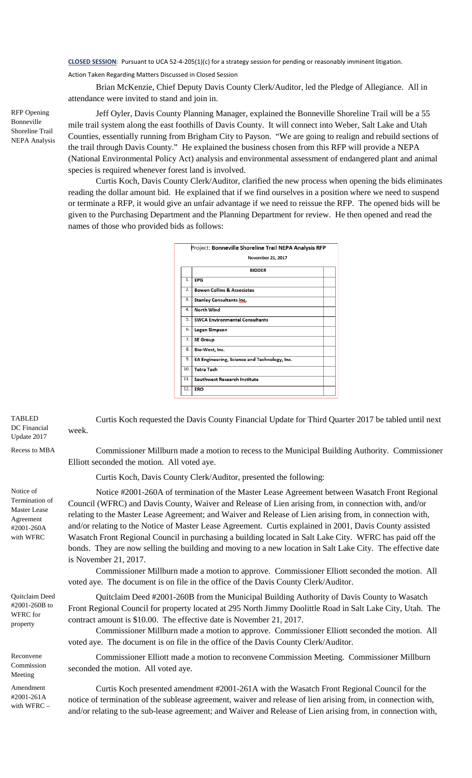**CLOSED SESSION**: Pursuant to UCA 52-4-205(1)(c) for a strategy session for pending or reasonably imminent litigation.

Action Taken Regarding Matters Discussed in Closed Session

Brian McKenzie, Chief Deputy Davis County Clerk/Auditor, led the Pledge of Allegiance. All in attendance were invited to stand and join in.

RFP Opening Bonneville Shoreline Trail NEPA Analysis

Jeff Oyler, Davis County Planning Manager, explained the Bonneville Shoreline Trail will be a 55 mile trail system along the east foothills of Davis County. It will connect into Weber, Salt Lake and Utah Counties, essentially running from Brigham City to Payson. "We are going to realign and rebuild sections of the trail through Davis County." He explained the business chosen from this RFP will provide a NEPA (National Environmental Policy Act) analysis and environmental assessment of endangered plant and animal species is required whenever forest land is involved.

Curtis Koch, Davis County Clerk/Auditor, clarified the new process when opening the bids eliminates reading the dollar amount bid. He explained that if we find ourselves in a position where we need to suspend or terminate a RFP, it would give an unfair advantage if we need to reissue the RFP. The opened bids will be given to the Purchasing Department and the Planning Department for review. He then opened and read the names of those who provided bids as follows:

|     | <b>November 21, 2017</b>                     |
|-----|----------------------------------------------|
|     | <b>BIDDER</b>                                |
| 1.  | EPG                                          |
| 2.  | <b>Bowen Collins &amp; Associates</b>        |
| 3.  | <b>Stanley Consultants Inc.</b>              |
| 4.  | North Wind                                   |
| 5.  | <b>SWCA Environmental Consultants</b>        |
| 6.  | Logan Simpson                                |
| 7.  | <b>SE Group</b>                              |
| 8.  | Bio-West, Inc.                               |
| 9.  | EA Engineering, Science and Technology, Inc. |
| 10. | <b>Tetra Tech</b>                            |
| 11. | Southwest Research Institute                 |
| 12. | ERO                                          |

Curtis Koch requested the Davis County Financial Update for Third Quarter 2017 be tabled until next week.

Recess to MBA Commissioner Millburn made a motion to recess to the Municipal Building Authority. Commissioner Elliott seconded the motion. All voted aye.

Curtis Koch, Davis County Clerk/Auditor, presented the following:

Notice #2001-260A of termination of the Master Lease Agreement between Wasatch Front Regional Council (WFRC) and Davis County, Waiver and Release of Lien arising from, in connection with, and/or relating to the Master Lease Agreement; and Waiver and Release of Lien arising from, in connection with, and/or relating to the Notice of Master Lease Agreement. Curtis explained in 2001, Davis County assisted Wasatch Front Regional Council in purchasing a building located in Salt Lake City. WFRC has paid off the bonds. They are now selling the building and moving to a new location in Salt Lake City. The effective date is November 21, 2017.

Commissioner Millburn made a motion to approve. Commissioner Elliott seconded the motion. All voted aye. The document is on file in the office of the Davis County Clerk/Auditor.

Quitclaim Deed #2001-260B from the Municipal Building Authority of Davis County to Wasatch Front Regional Council for property located at 295 North Jimmy Doolittle Road in Salt Lake City, Utah. The contract amount is \$10.00. The effective date is November 21, 2017.

Commissioner Millburn made a motion to approve. Commissioner Elliott seconded the motion. All voted aye. The document is on file in the office of the Davis County Clerk/Auditor.

Commissioner Elliott made a motion to reconvene Commission Meeting. Commissioner Millburn seconded the motion. All voted aye.

Curtis Koch presented amendment #2001-261A with the Wasatch Front Regional Council for the notice of termination of the sublease agreement, waiver and release of lien arising from, in connection with, and/or relating to the sub-lease agreement; and Waiver and Release of Lien arising from, in connection with,

Quitclaim Deed #2001-260B to WFRC for property

TABLED DC Financial Update 2017

Notice of Termination of Master Lease Agreement #2001-260A with WFRC

Reconvene Commission Meeting

Amendment #2001-261A with WFRC –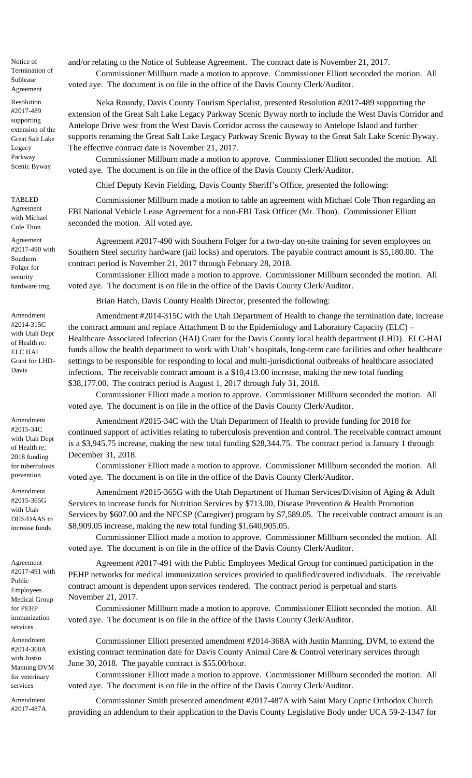Notice of Termination of Sublease Agreement

Resolution #2017-489 supporting extension of the Great Salt Lake Legacy Parkway Scenic Byway

and/or relating to the Notice of Sublease Agreement. The contract date is November 21, 2017. Commissioner Millburn made a motion to approve. Commissioner Elliott seconded the motion. All

voted aye. The document is on file in the office of the Davis County Clerk/Auditor.

Neka Roundy, Davis County Tourism Specialist, presented Resolution #2017-489 supporting the extension of the Great Salt Lake Legacy Parkway Scenic Byway north to include the West Davis Corridor and Antelope Drive west from the West Davis Corridor across the causeway to Antelope Island and further supports renaming the Great Salt Lake Legacy Parkway Scenic Byway to the Great Salt Lake Scenic Byway. The effective contract date is November 21, 2017.

Commissioner Millburn made a motion to approve. Commissioner Elliott seconded the motion. All voted aye. The document is on file in the office of the Davis County Clerk/Auditor.

Chief Deputy Kevin Fielding, Davis County Sheriff's Office, presented the following:

Commissioner Millburn made a motion to table an agreement with Michael Cole Thon regarding an FBI National Vehicle Lease Agreement for a non-FBI Task Officer (Mr. Thon). Commissioner Elliott seconded the motion. All voted aye.

Agreement #2017-490 with Southern Folger for a two-day on-site training for seven employees on Southern Steel security hardware (jail locks) and operators. The payable contract amount is \$5,180.00. The contract period is November 21, 2017 through February 28, 2018.

Commissioner Elliott made a motion to approve. Commissioner Millburn seconded the motion. All voted aye. The document is on file in the office of the Davis County Clerk/Auditor.

Brian Hatch, Davis County Health Director, presented the following:

Amendment #2014-315C with the Utah Department of Health to change the termination date, increase the contract amount and replace Attachment B to the Epidemiology and Laboratory Capacity (ELC) – Healthcare Associated Infection (HAI) Grant for the Davis County local health department (LHD). ELC-HAI funds allow the health department to work with Utah's hospitals, long-term care facilities and other healthcare settings to be responsible for responding to local and multi-jurisdictional outbreaks of healthcare associated infections. The receivable contract amount is a \$10,413.00 increase, making the new total funding \$38,177.00. The contract period is August 1, 2017 through July 31, 2018.

Commissioner Elliott made a motion to approve. Commissioner Millburn seconded the motion. All voted aye. The document is on file in the office of the Davis County Clerk/Auditor.

Amendment #2015-34C with the Utah Department of Health to provide funding for 2018 for continued support of activities relating to tuberculosis prevention and control. The receivable contract amount is a \$3,945.75 increase, making the new total funding \$28,344.75. The contract period is January 1 through December 31, 2018.

Commissioner Elliott made a motion to approve. Commissioner Millburn seconded the motion. All voted aye. The document is on file in the office of the Davis County Clerk/Auditor.

Amendment #2015-365G with the Utah Department of Human Services/Division of Aging & Adult Services to increase funds for Nutrition Services by \$713.00, Disease Prevention & Health Promotion Services by \$607.00 and the NFCSP (Caregiver) program by \$7,589.05. The receivable contract amount is an \$8,909.05 increase, making the new total funding \$1,640,905.05.

Commissioner Elliott made a motion to approve. Commissioner Millburn seconded the motion. All voted aye. The document is on file in the office of the Davis County Clerk/Auditor.

Agreement #2017-491 with the Public Employees Medical Group for continued participation in the PEHP networks for medical immunization services provided to qualified/covered individuals. The receivable contract amount is dependent upon services rendered. The contract period is perpetual and starts November 21, 2017.

Commissioner Millburn made a motion to approve. Commissioner Elliott seconded the motion. All voted aye. The document is on file in the office of the Davis County Clerk/Auditor.

Commissioner Elliott presented amendment #2014-368A with Justin Manning, DVM, to extend the existing contract termination date for Davis County Animal Care & Control veterinary services through June 30, 2018. The payable contract is \$55.00/hour.

Commissioner Elliott made a motion to approve. Commissioner Millburn seconded the motion. All voted aye. The document is on file in the office of the Davis County Clerk/Auditor.

Commissioner Smith presented amendment #2017-487A with Saint Mary Coptic Orthodox Church providing an addendum to their application to the Davis County Legislative Body under UCA 59-2-1347 for

TABLED Agreement with Michael Cole Thon

Agreement #2017-490 with Southern Folger for security hardware trng

Amendment #2014-315C with Utah Dept of Health re: ELC HAI Grant for LHD-Davis

Amendment #2015-34C with Utah Dept of Health re: 2018 funding for tuberculosis prevention

Amendment #2015-365G with Utah DHS/DAAS to increase funds

Agreement #2017-491 with Public Employees Medical Group for PEHP immunization services

Amendment #2014-368A with Justin Manning DVM for veterinary services

Amendment #2017-487A